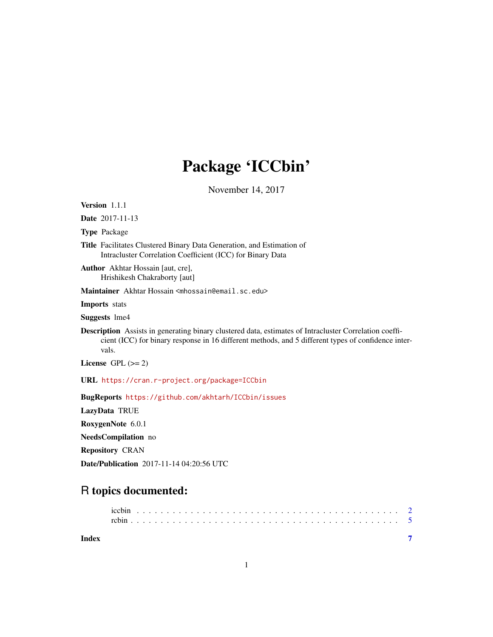# Package 'ICCbin'

November 14, 2017

Version 1.1.1

Date 2017-11-13

Type Package

Title Facilitates Clustered Binary Data Generation, and Estimation of Intracluster Correlation Coefficient (ICC) for Binary Data

Author Akhtar Hossain [aut, cre], Hrishikesh Chakraborty [aut]

Maintainer Akhtar Hossain <mhossain@email.sc.edu>

Imports stats

Suggests lme4

Description Assists in generating binary clustered data, estimates of Intracluster Correlation coefficient (ICC) for binary response in 16 different methods, and 5 different types of confidence intervals.

License GPL  $(>= 2)$ 

URL <https://cran.r-project.org/package=ICCbin>

BugReports <https://github.com/akhtarh/ICCbin/issues>

LazyData TRUE

RoxygenNote 6.0.1

NeedsCompilation no

Repository CRAN

Date/Publication 2017-11-14 04:20:56 UTC

# R topics documented:

**Index** [7](#page-6-0) **7**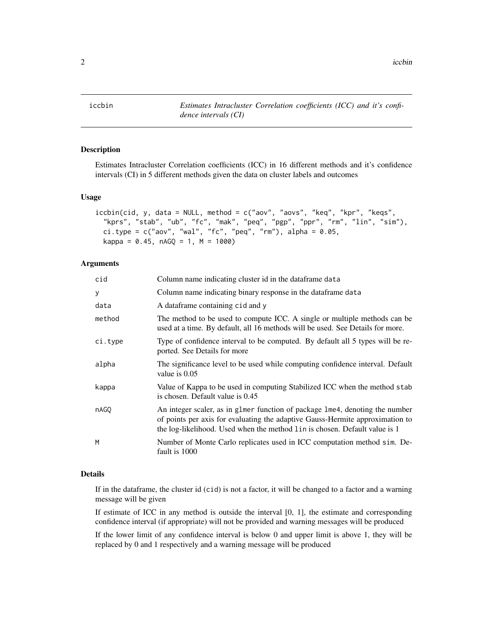<span id="page-1-1"></span><span id="page-1-0"></span>

#### Description

Estimates Intracluster Correlation coefficients (ICC) in 16 different methods and it's confidence intervals (CI) in 5 different methods given the data on cluster labels and outcomes

#### Usage

```
iccbin(cid, y, data = NULL, method = c("aov", "aovs", "keq", "kpr", "keqs",
  "kprs", "stab", "ub", "fc", "mak", "peq", "pgp", "ppr", "rm", "lin", "sim"),
 ci.type = c("aov", "wal", "fc", "peq", "rm"), alpha = 0.05,kappa = 0.45, nAGQ = 1, M = 1000
```
#### **Arguments**

| cid     | Column name indicating cluster id in the dataframe data                                                                                                                                                                                     |
|---------|---------------------------------------------------------------------------------------------------------------------------------------------------------------------------------------------------------------------------------------------|
| у       | Column name indicating binary response in the data frame data                                                                                                                                                                               |
| data    | A dataframe containing cid and y                                                                                                                                                                                                            |
| method  | The method to be used to compute ICC. A single or multiple methods can be<br>used at a time. By default, all 16 methods will be used. See Details for more.                                                                                 |
| ci.type | Type of confidence interval to be computed. By default all 5 types will be re-<br>ported. See Details for more                                                                                                                              |
| alpha   | The significance level to be used while computing confidence interval. Default<br>value is $0.05$                                                                                                                                           |
| kappa   | Value of Kappa to be used in computing Stabilized ICC when the method stab<br>is chosen. Default value is 0.45                                                                                                                              |
| nAGQ    | An integer scaler, as in glmer function of package lme4, denoting the number<br>of points per axis for evaluating the adaptive Gauss-Hermite approximation to<br>the log-likelihood. Used when the method lin is chosen. Default value is 1 |
| М       | Number of Monte Carlo replicates used in ICC computation method sim. De-<br>fault is 1000                                                                                                                                                   |

#### Details

If in the dataframe, the cluster id (cid) is not a factor, it will be changed to a factor and a warning message will be given

If estimate of ICC in any method is outside the interval  $[0, 1]$ , the estimate and corresponding confidence interval (if appropriate) will not be provided and warning messages will be produced

If the lower limit of any confidence interval is below 0 and upper limit is above 1, they will be replaced by 0 and 1 respectively and a warning message will be produced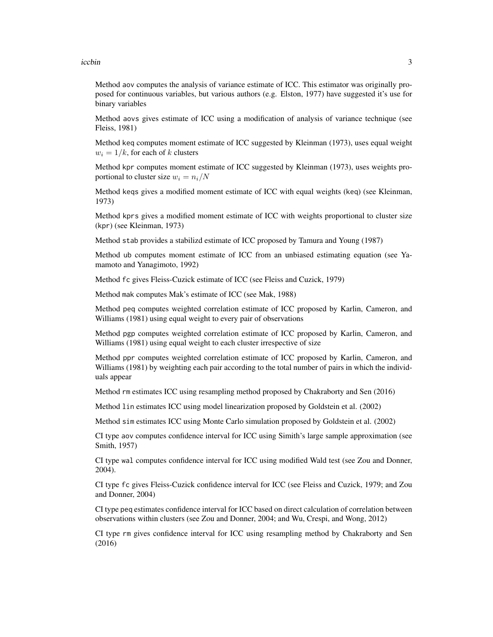iccbin 3

Method aov computes the analysis of variance estimate of ICC. This estimator was originally proposed for continuous variables, but various authors (e.g. Elston, 1977) have suggested it's use for binary variables

Method aovs gives estimate of ICC using a modification of analysis of variance technique (see Fleiss, 1981)

Method keq computes moment estimate of ICC suggested by Kleinman (1973), uses equal weight  $w_i = 1/k$ , for each of k clusters

Method kpr computes moment estimate of ICC suggested by Kleinman (1973), uses weights proportional to cluster size  $w_i = n_i/N$ 

Method keqs gives a modified moment estimate of ICC with equal weights (keq) (see Kleinman, 1973)

Method kprs gives a modified moment estimate of ICC with weights proportional to cluster size (kpr) (see Kleinman, 1973)

Method stab provides a stabilizd estimate of ICC proposed by Tamura and Young (1987)

Method ub computes moment estimate of ICC from an unbiased estimating equation (see Yamamoto and Yanagimoto, 1992)

Method fc gives Fleiss-Cuzick estimate of ICC (see Fleiss and Cuzick, 1979)

Method mak computes Mak's estimate of ICC (see Mak, 1988)

Method peq computes weighted correlation estimate of ICC proposed by Karlin, Cameron, and Williams (1981) using equal weight to every pair of observations

Method pgp computes weighted correlation estimate of ICC proposed by Karlin, Cameron, and Williams (1981) using equal weight to each cluster irrespective of size

Method ppr computes weighted correlation estimate of ICC proposed by Karlin, Cameron, and Williams (1981) by weighting each pair according to the total number of pairs in which the individuals appear

Method rm estimates ICC using resampling method proposed by Chakraborty and Sen (2016)

Method lin estimates ICC using model linearization proposed by Goldstein et al. (2002)

Method sim estimates ICC using Monte Carlo simulation proposed by Goldstein et al. (2002)

CI type aov computes confidence interval for ICC using Simith's large sample approximation (see Smith, 1957)

CI type wal computes confidence interval for ICC using modified Wald test (see Zou and Donner, 2004).

CI type fc gives Fleiss-Cuzick confidence interval for ICC (see Fleiss and Cuzick, 1979; and Zou and Donner, 2004)

CI type peq estimates confidence interval for ICC based on direct calculation of correlation between observations within clusters (see Zou and Donner, 2004; and Wu, Crespi, and Wong, 2012)

CI type rm gives confidence interval for ICC using resampling method by Chakraborty and Sen (2016)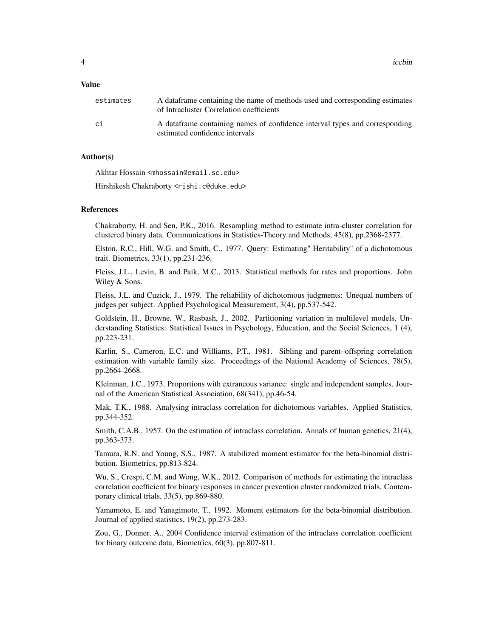4 iccbin and the contract of the contract of the contract of the contract of the contract of the contract of the contract of the contract of the contract of the contract of the contract of the contract of the contract of t

#### Value

| estimates | A data frame containing the name of methods used and corresponding estimates<br>of Intracluster Correlation coefficients |  |  |
|-----------|--------------------------------------------------------------------------------------------------------------------------|--|--|
| сi        | A data frame containing names of confidence interval types and corresponding<br>estimated confidence intervals           |  |  |

#### Author(s)

Akhtar Hossain <mhossain@email.sc.edu>

Hirshikesh Chakraborty <rishi.c@duke.edu>

#### References

Chakraborty, H. and Sen, P.K., 2016. Resampling method to estimate intra-cluster correlation for clustered binary data. Communications in Statistics-Theory and Methods, 45(8), pp.2368-2377.

Elston, R.C., Hill, W.G. and Smith, C., 1977. Query: Estimating" Heritability" of a dichotomous trait. Biometrics, 33(1), pp.231-236.

Fleiss, J.L., Levin, B. and Paik, M.C., 2013. Statistical methods for rates and proportions. John Wiley & Sons.

Fleiss, J.L. and Cuzick, J., 1979. The reliability of dichotomous judgments: Unequal numbers of judges per subject. Applied Psychological Measurement, 3(4), pp.537-542.

Goldstein, H., Browne, W., Rasbash, J., 2002. Partitioning variation in multilevel models, Understanding Statistics: Statistical Issues in Psychology, Education, and the Social Sciences, 1 (4), pp.223-231.

Karlin, S., Cameron, E.C. and Williams, P.T., 1981. Sibling and parent–offspring correlation estimation with variable family size. Proceedings of the National Academy of Sciences, 78(5), pp.2664-2668.

Kleinman, J.C., 1973. Proportions with extraneous variance: single and independent samples. Journal of the American Statistical Association, 68(341), pp.46-54.

Mak, T.K., 1988. Analysing intraclass correlation for dichotomous variables. Applied Statistics, pp.344-352.

Smith, C.A.B., 1957. On the estimation of intraclass correlation. Annals of human genetics, 21(4), pp.363-373.

Tamura, R.N. and Young, S.S., 1987. A stabilized moment estimator for the beta-binomial distribution. Biometrics, pp.813-824.

Wu, S., Crespi, C.M. and Wong, W.K., 2012. Comparison of methods for estimating the intraclass correlation coefficient for binary responses in cancer prevention cluster randomized trials. Contemporary clinical trials, 33(5), pp.869-880.

Yamamoto, E. and Yanagimoto, T., 1992. Moment estimators for the beta-binomial distribution. Journal of applied statistics, 19(2), pp.273-283.

Zou, G., Donner, A., 2004 Confidence interval estimation of the intraclass correlation coefficient for binary outcome data, Biometrics, 60(3), pp.807-811.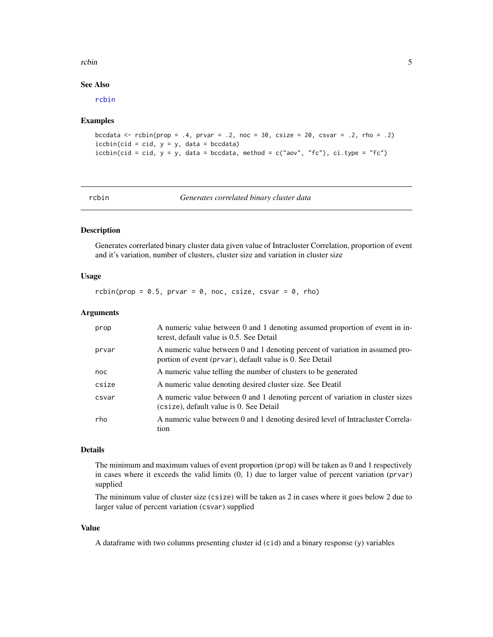#### <span id="page-4-0"></span>rcbin 5

#### See Also

[rcbin](#page-4-1)

#### Examples

```
bccdata <- rcbin(prop = .4, prvar = .2, noc = 30, csize = 20, csvar = .2, rho = .2)
iccbin(cid = cid, y = y, data = bccdata)iccbin(cid = cid, y = y, data = bccdata, method = c("aov", "fc"), ci.type = "fc")
```
<span id="page-4-1"></span>

| ٠ | ٧ |  |
|---|---|--|

*Generates correlated binary cluster data* 

## Description

Generates correrlated binary cluster data given value of Intracluster Correlation, proportion of event and it's variation, number of clusters, cluster size and variation in cluster size

#### Usage

rcbin(prop =  $0.5$ , prvar =  $0$ , noc, csize, csvar =  $0$ , rho)

#### **Arguments**

| prop  | A numeric value between 0 and 1 denoting assumed proportion of event in in-<br>terest, default value is 0.5. See Detail                   |
|-------|-------------------------------------------------------------------------------------------------------------------------------------------|
| prvar | A numeric value between 0 and 1 denoting percent of variation in assumed pro-<br>portion of event (prvar), default value is 0. See Detail |
| noc   | A numeric value telling the number of clusters to be generated                                                                            |
| csize | A numeric value denoting desired cluster size. See Deatil                                                                                 |
| csvar | A numeric value between 0 and 1 denoting percent of variation in cluster sizes<br>(csize), default value is 0. See Detail                 |
| rho   | A numeric value between 0 and 1 denoting desired level of Intractuster Correla-<br>tion                                                   |

#### Details

The minimum and maximum values of event proportion (prop) will be taken as 0 and 1 respectively in cases where it exceeds the valid limits  $(0, 1)$  due to larger value of percent variation (prvar) supplied

The minimum value of cluster size (csize) will be taken as 2 in cases where it goes below 2 due to larger value of percent variation (csvar) supplied

#### Value

A dataframe with two columns presenting cluster id (cid) and a binary response (y) variables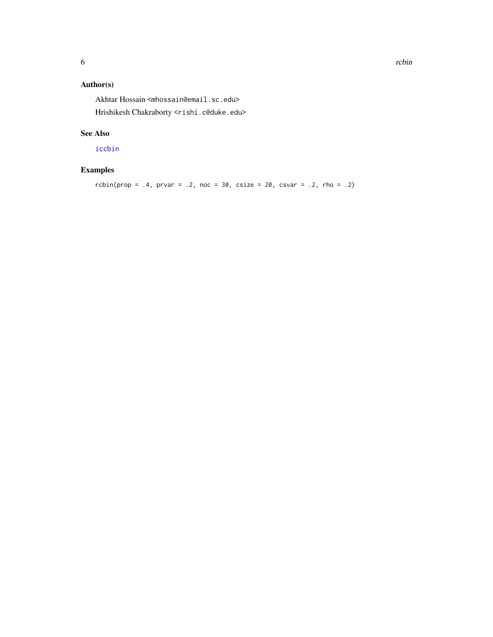# <span id="page-5-0"></span>Author(s)

Akhtar Hossain <mhossain@email.sc.edu> Hrishikesh Chakraborty <rishi.c@duke.edu>

## See Also

[iccbin](#page-1-1)

# Examples

```
rcbin(prop = .4, prvar = .2, noc = 30, csize = 20, csvar = .2, rho = .2)
```